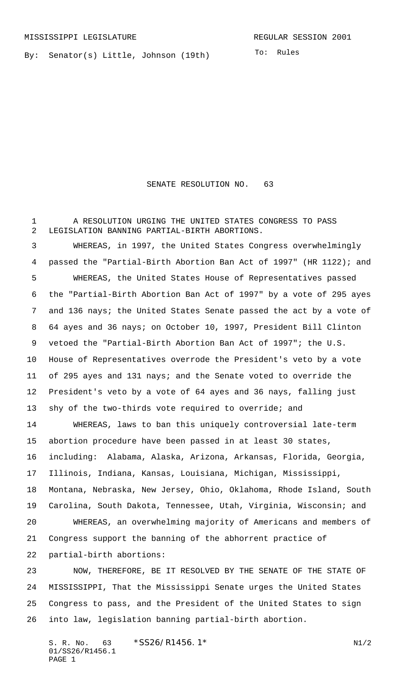By: Senator(s) Little, Johnson (19th)

SENATE RESOLUTION NO. 63

 A RESOLUTION URGING THE UNITED STATES CONGRESS TO PASS LEGISLATION BANNING PARTIAL-BIRTH ABORTIONS.

 WHEREAS, in 1997, the United States Congress overwhelmingly passed the "Partial-Birth Abortion Ban Act of 1997" (HR 1122); and WHEREAS, the United States House of Representatives passed the "Partial-Birth Abortion Ban Act of 1997" by a vote of 295 ayes and 136 nays; the United States Senate passed the act by a vote of 64 ayes and 36 nays; on October 10, 1997, President Bill Clinton vetoed the "Partial-Birth Abortion Ban Act of 1997"; the U.S. House of Representatives overrode the President's veto by a vote of 295 ayes and 131 nays; and the Senate voted to override the President's veto by a vote of 64 ayes and 36 nays, falling just 13 shy of the two-thirds vote required to override; and

 WHEREAS, laws to ban this uniquely controversial late-term abortion procedure have been passed in at least 30 states, including: Alabama, Alaska, Arizona, Arkansas, Florida, Georgia, Illinois, Indiana, Kansas, Louisiana, Michigan, Mississippi, Montana, Nebraska, New Jersey, Ohio, Oklahoma, Rhode Island, South Carolina, South Dakota, Tennessee, Utah, Virginia, Wisconsin; and WHEREAS, an overwhelming majority of Americans and members of Congress support the banning of the abhorrent practice of partial-birth abortions:

 NOW, THEREFORE, BE IT RESOLVED BY THE SENATE OF THE STATE OF MISSISSIPPI, That the Mississippi Senate urges the United States Congress to pass, and the President of the United States to sign into law, legislation banning partial-birth abortion.

S. R. No. 63 \* SS26/R1456.1\* N1/2 01/SS26/R1456.1 PAGE 1